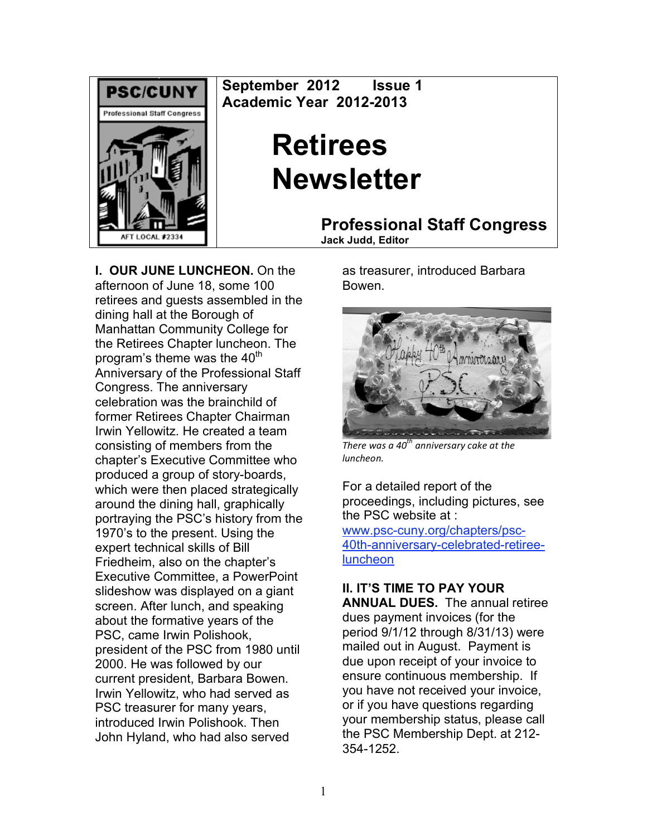

**September 2012 Issue 1 Academic Year 2012-2013**

# **Retirees Newsletter**

**Professional Staff Congress**

**Jack Judd, Editor**

**I. OUR JUNE LUNCHEON.** On the afternoon of June 18, some 100 retirees and guests assembled in the dining hall at the Borough of Manhattan Community College for the Retirees Chapter luncheon. The program's theme was the  $40<sup>th</sup>$ Anniversary of the Professional Staff Congress. The anniversary celebration was the brainchild of former Retirees Chapter Chairman Irwin Yellowitz. He created a team consisting of members from the chapter's Executive Committee who produced a group of story-boards, which were then placed strategically around the dining hall, graphically portraying the PSC's history from the 1970's to the present. Using the expert technical skills of Bill Friedheim, also on the chapter's Executive Committee, a PowerPoint slideshow was displayed on a giant screen. After lunch, and speaking about the formative years of the PSC, came Irwin Polishook, president of the PSC from 1980 until 2000. He was followed by our current president, Barbara Bowen. Irwin Yellowitz, who had served as PSC treasurer for many years, introduced Irwin Polishook. Then John Hyland, who had also served

as treasurer, introduced Barbara Bowen.



*There
was
a
40 th
anniversary
cake
at
the luncheon.*

For a detailed report of the proceedings, including pictures, see the PSC website at : www.psc-cuny.org/chapters/psc-40th-anniversary-celebrated-retiree**luncheon** 

## **II. IT'S TIME TO PAY YOUR**

**ANNUAL DUES.** The annual retiree dues payment invoices (for the period 9/1/12 through 8/31/13) were mailed out in August. Payment is due upon receipt of your invoice to ensure continuous membership. If you have not received your invoice, or if you have questions regarding your membership status, please call the PSC Membership Dept. at 212- 354-1252.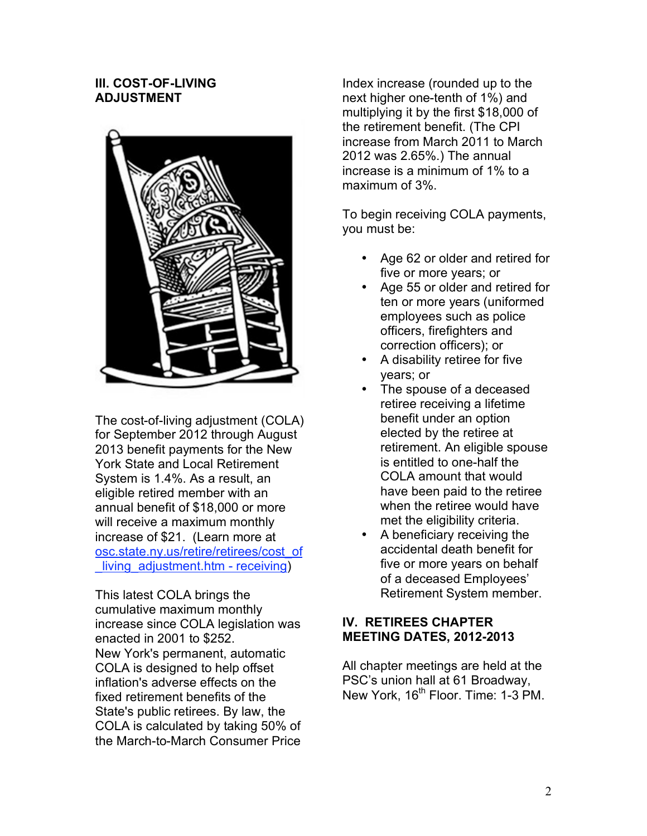#### **III. COST-OF-LIVING ADJUSTMENT**



The cost-of-living adjustment (COLA) for September 2012 through August 2013 benefit payments for the New York State and Local Retirement System is 1.4%. As a result, an eligible retired member with an annual benefit of \$18,000 or more will receive a maximum monthly increase of \$21. (Learn more at osc.state.ny.us/retire/retirees/cost\_of living adjustment.htm - receiving)

This latest COLA brings the cumulative maximum monthly increase since COLA legislation was enacted in 2001 to \$252. New York's permanent, automatic COLA is designed to help offset inflation's adverse effects on the fixed retirement benefits of the State's public retirees. By law, the COLA is calculated by taking 50% of the March-to-March Consumer Price

Index increase (rounded up to the next higher one-tenth of 1%) and multiplying it by the first \$18,000 of the retirement benefit. (The CPI increase from March 2011 to March 2012 was 2.65%.) The annual increase is a minimum of 1% to a maximum of 3%.

To begin receiving COLA payments, you must be:

- Age 62 or older and retired for five or more years; or
- Age 55 or older and retired for ten or more years (uniformed employees such as police officers, firefighters and correction officers); or
- A disability retiree for five years; or
- The spouse of a deceased retiree receiving a lifetime benefit under an option elected by the retiree at retirement. An eligible spouse is entitled to one-half the COLA amount that would have been paid to the retiree when the retiree would have met the eligibility criteria.
- A beneficiary receiving the accidental death benefit for five or more years on behalf of a deceased Employees' Retirement System member.

### **IV. RETIREES CHAPTER MEETING DATES, 2012-2013**

All chapter meetings are held at the PSC's union hall at 61 Broadway, New York, 16<sup>th</sup> Floor. Time: 1-3 PM.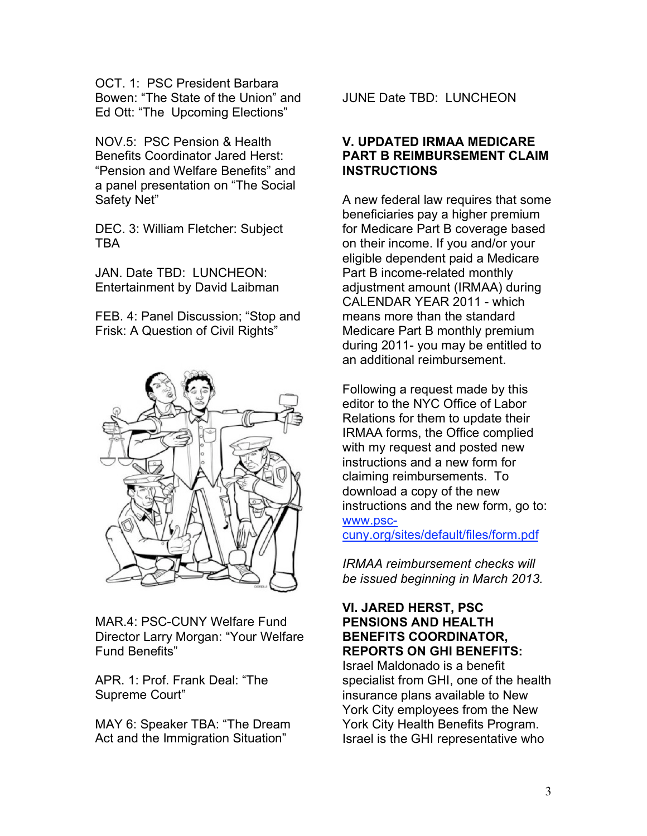OCT. 1: PSC President Barbara Bowen: "The State of the Union" and Ed Ott: "The Upcoming Elections"

NOV.5: PSC Pension & Health Benefits Coordinator Jared Herst: "Pension and Welfare Benefits" and a panel presentation on "The Social Safety Net"

DEC. 3: William Fletcher: Subject TBA

JAN. Date TBD: LUNCHEON: Entertainment by David Laibman

FEB. 4: Panel Discussion; "Stop and Frisk: A Question of Civil Rights"



MAR.4: PSC-CUNY Welfare Fund Director Larry Morgan: "Your Welfare Fund Benefits"

APR. 1: Prof. Frank Deal: "The Supreme Court"

MAY 6: Speaker TBA: "The Dream Act and the Immigration Situation"

JUNE Date TBD: LUNCHEON

#### **V. UPDATED IRMAA MEDICARE PART B REIMBURSEMENT CLAIM INSTRUCTIONS**

A new federal law requires that some beneficiaries pay a higher premium for Medicare Part B coverage based on their income. If you and/or your eligible dependent paid a Medicare Part B income-related monthly adjustment amount (IRMAA) during CALENDAR YEAR 2011 - which means more than the standard Medicare Part B monthly premium during 2011- you may be entitled to an additional reimbursement.

Following a request made by this editor to the NYC Office of Labor Relations for them to update their IRMAA forms, the Office complied with my request and posted new instructions and a new form for claiming reimbursements. To download a copy of the new instructions and the new form, go to: www.psc-

cuny.org/sites/default/files/form.pdf

*IRMAA reimbursement checks will be issued beginning in March 2013.*

#### **VI. JARED HERST, PSC PENSIONS AND HEALTH BENEFITS COORDINATOR, REPORTS ON GHI BENEFITS:**

Israel Maldonado is a benefit specialist from GHI, one of the health insurance plans available to New York City employees from the New York City Health Benefits Program. Israel is the GHI representative who